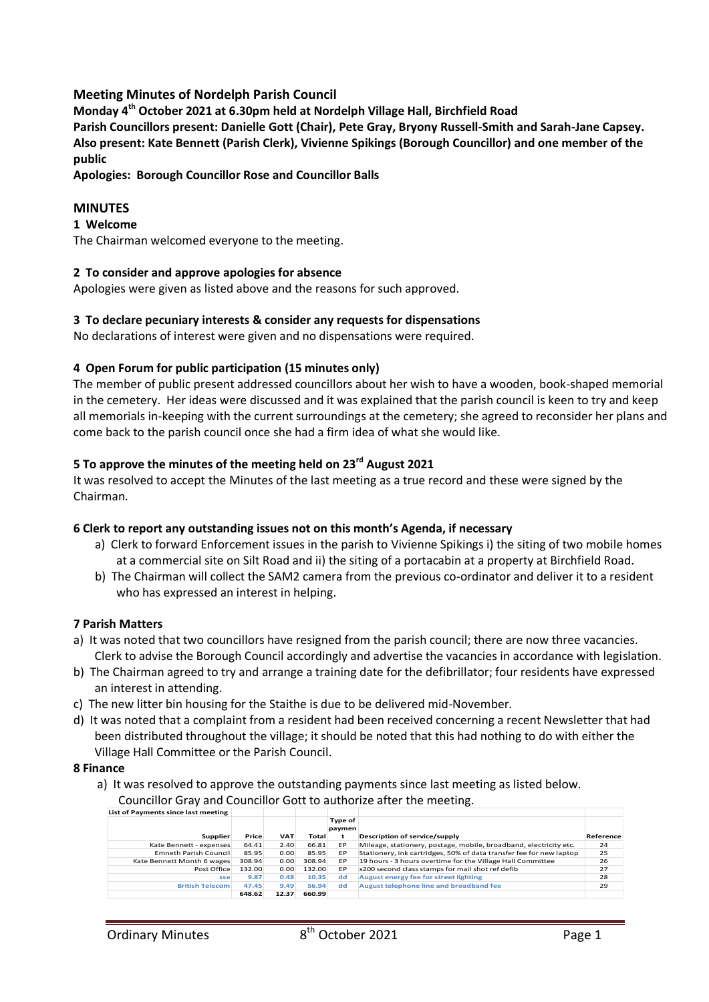## **Meeting Minutes of Nordelph Parish Council**

**Monday 4th October 2021 at 6.30pm held at Nordelph Village Hall, Birchfield Road**

**Parish Councillors present: Danielle Gott (Chair), Pete Gray, Bryony Russell-Smith and Sarah-Jane Capsey. Also present: Kate Bennett (Parish Clerk), Vivienne Spikings (Borough Councillor) and one member of the public**

**Apologies: Borough Councillor Rose and Councillor Balls**

## **MINUTES**

### **1 Welcome**

The Chairman welcomed everyone to the meeting.

### **2 To consider and approve apologies for absence**

Apologies were given as listed above and the reasons for such approved.

### **3 To declare pecuniary interests & consider any requests for dispensations**

No declarations of interest were given and no dispensations were required.

### **4 Open Forum for public participation (15 minutes only)**

The member of public present addressed councillors about her wish to have a wooden, book-shaped memorial in the cemetery. Her ideas were discussed and it was explained that the parish council is keen to try and keep all memorials in-keeping with the current surroundings at the cemetery; she agreed to reconsider her plans and come back to the parish council once she had a firm idea of what she would like.

# **5 To approve the minutes of the meeting held on 23rd August 2021**

It was resolved to accept the Minutes of the last meeting as a true record and these were signed by the Chairman.

### **6 Clerk to report any outstanding issues not on this month's Agenda, if necessary**

- a) Clerk to forward Enforcement issues in the parish to Vivienne Spikings i) the siting of two mobile homes at a commercial site on Silt Road and ii) the siting of a portacabin at a property at Birchfield Road.
- b) The Chairman will collect the SAM2 camera from the previous co-ordinator and deliver it to a resident who has expressed an interest in helping.

### **7 Parish Matters**

- a) It was noted that two councillors have resigned from the parish council; there are now three vacancies. Clerk to advise the Borough Council accordingly and advertise the vacancies in accordance with legislation.
- b) The Chairman agreed to try and arrange a training date for the defibrillator; four residents have expressed an interest in attending.
- c) The new litter bin housing for the Staithe is due to be delivered mid-November.
- d) It was noted that a complaint from a resident had been received concerning a recent Newsletter that had been distributed throughout the village; it should be noted that this had nothing to do with either the Village Hall Committee or the Parish Council.

#### **8 Finance**

a) It was resolved to approve the outstanding payments since last meeting as listed below. Councillor Gray and Councillor Gott to authorize after the meeting.

| List of Payments since last meeting |        |            |        |                   |                                                                     |           |
|-------------------------------------|--------|------------|--------|-------------------|---------------------------------------------------------------------|-----------|
| <b>Supplier</b>                     | Price  | <b>VAT</b> | Total  | Type of<br>paymen | Description of service/supply                                       | Reference |
| Kate Bennett - expenses             | 64.41  | 2.40       | 66.81  | EP                | Mileage, stationery, postage, mobile, broadband, electricity etc.   | 24        |
| Emneth Parish Council               | 85.95  | 0.00       | 85.95  | EP                | Stationery, ink cartridges, 50% of data transfer fee for new laptop | 25        |
| Kate Bennett Month 6 wages          | 308.94 | 0.00       | 308.94 | EP                | 19 hours - 3 hours overtime for the Village Hall Committee          | 26        |
| Post Office                         | 132.00 | 0.00       | 132.00 | EP                | x200 second class stamps for mail shot ref defib                    | 27        |
| sse                                 | 9.87   | 0.48       | 10.35  | dd                | August energy fee for street lighting                               | 28        |
| <b>British Telecom</b>              | 47.45  | 9.49       | 56.94  | dd                | August telephone line and broadband fee                             | 29        |
|                                     | 648.62 | 12.37      | 660.99 |                   |                                                                     |           |